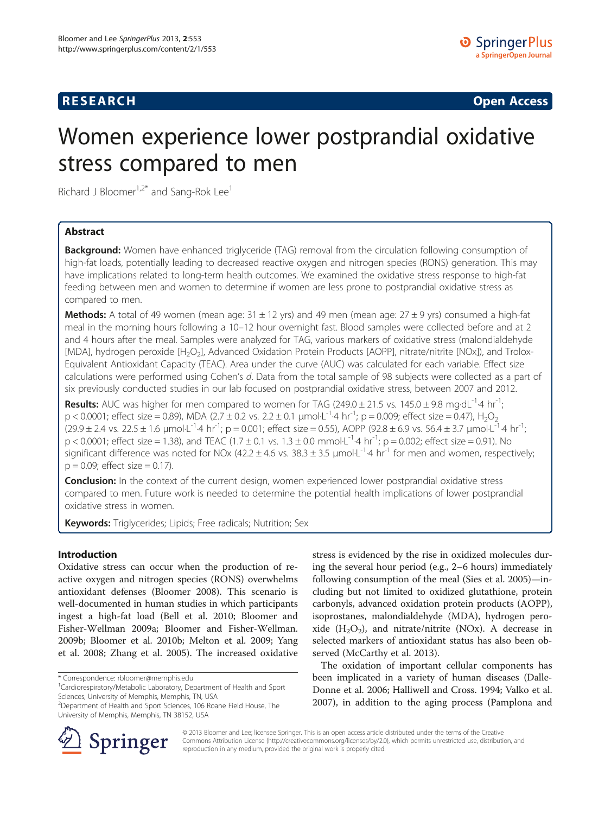# **RESEARCH CHINESE ARCH CHINESE ARCH CHINESE ARCH <b>CHINESE ARCH**

# Women experience lower postprandial oxidative stress compared to men

Richard J Bloomer<sup>1,2\*</sup> and Sang-Rok Lee<sup>1</sup>

# Abstract

**Background:** Women have enhanced triglyceride (TAG) removal from the circulation following consumption of high-fat loads, potentially leading to decreased reactive oxygen and nitrogen species (RONS) generation. This may have implications related to long-term health outcomes. We examined the oxidative stress response to high-fat feeding between men and women to determine if women are less prone to postprandial oxidative stress as compared to men.

**Methods:** A total of 49 women (mean age:  $31 \pm 12$  yrs) and 49 men (mean age:  $27 \pm 9$  yrs) consumed a high-fat meal in the morning hours following a 10–12 hour overnight fast. Blood samples were collected before and at 2 and 4 hours after the meal. Samples were analyzed for TAG, various markers of oxidative stress (malondialdehyde [MDA], hydrogen peroxide [H<sub>2</sub>O<sub>2</sub>], Advanced Oxidation Protein Products [AOPP], nitrate/nitrite [NOx]), and Trolox-Equivalent Antioxidant Capacity (TEAC). Area under the curve (AUC) was calculated for each variable. Effect size calculations were performed using Cohen's d. Data from the total sample of 98 subjects were collected as a part of six previously conducted studies in our lab focused on postprandial oxidative stress, between 2007 and 2012.

**Results:** AUC was higher for men compared to women for TAG  $(249.0 \pm 21.5 \text{ vs. } 145.0 \pm 9.8 \text{ mg} \cdot \text{dL}^{-1} \cdot 4 \text{ hr}^{-1})$ ; p < 0.0001; effect size = 0.89), MDA (2.7 ± 0.2 vs. 2.2 ± 0.1 µmol·L<sup>-1</sup>·4 hr<sup>-1</sup>; p = 0.009; effect size = 0.47), H<sub>2</sub>O<sub>2</sub>  $(29.9 \pm 2.4 \text{ vs. } 22.5 \pm 1.6 \text{ }\mu\text{mol L}^{-1} \cdot 4 \text{ hr}^{-1}$ ; p = 0.001; effect size = 0.55), AOPP (92.8 ± 6.9 vs. 56.4 ± 3.7  $\mu\text{mol L}^{-1} \cdot 4 \text{ hr}^{-1}$ ;  $p < 0.0001$ ; effect size = 1.38), and TEAC (1.7  $\pm$  0.1 vs. 1.3  $\pm$  0.0 mmol·L<sup>-1</sup>·4 hr<sup>-1</sup>; p = 0.002; effect size = 0.91). No significant difference was noted for NOx (42.2  $\pm$  4.6 vs. 38.3  $\pm$  3.5  $\mu$ mol·L<sup>-1</sup>·4 hr<sup>-1</sup> for men and women, respectively;  $p = 0.09$ ; effect size = 0.17).

**Conclusion:** In the context of the current design, women experienced lower postprandial oxidative stress compared to men. Future work is needed to determine the potential health implications of lower postprandial oxidative stress in women.

Keywords: Triglycerides; Lipids; Free radicals; Nutrition; Sex

## Introduction

Oxidative stress can occur when the production of reactive oxygen and nitrogen species (RONS) overwhelms antioxidant defenses (Bloomer [2008\)](#page-6-0). This scenario is well-documented in human studies in which participants ingest a high-fat load (Bell et al. [2010;](#page-6-0) Bloomer and Fisher-Wellman [2009a](#page-6-0); Bloomer and Fisher-Wellman. [2009b](#page-6-0); Bloomer et al. [2010b;](#page-7-0) Melton et al. [2009;](#page-7-0) Yang et al. [2008](#page-7-0); Zhang et al. [2005\)](#page-7-0). The increased oxidative

\* Correspondence: [rbloomer@memphis.edu](mailto:rbloomer@memphis.edu) <sup>1</sup>



The oxidation of important cellular components has been implicated in a variety of human diseases (Dalle-Donne et al. [2006;](#page-7-0) Halliwell and Cross. [1994;](#page-7-0) Valko et al. [2007](#page-7-0)), in addition to the aging process (Pamplona and



© 2013 Bloomer and Lee; licensee Springer. This is an open access article distributed under the terms of the Creative Commons Attribution License (<http://creativecommons.org/licenses/by/2.0>), which permits unrestricted use, distribution, and reproduction in any medium, provided the original work is properly cited.

Cardiorespiratory/Metabolic Laboratory, Department of Health and Sport Sciences, University of Memphis, Memphis, TN, USA

<sup>2</sup> Department of Health and Sport Sciences, 106 Roane Field House, The University of Memphis, Memphis, TN 38152, USA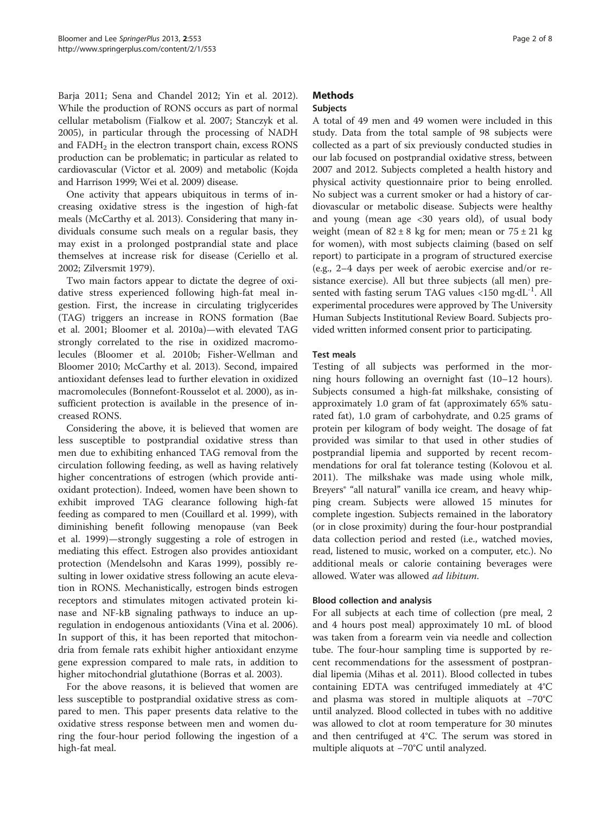Barja [2011](#page-7-0); Sena and Chandel [2012](#page-7-0); Yin et al. [2012](#page-7-0)). While the production of RONS occurs as part of normal cellular metabolism (Fialkow et al. [2007](#page-7-0); Stanczyk et al. [2005](#page-7-0)), in particular through the processing of NADH and  $FADH<sub>2</sub>$  in the electron transport chain, excess RONS production can be problematic; in particular as related to cardiovascular (Victor et al. [2009\)](#page-7-0) and metabolic (Kojda and Harrison [1999](#page-7-0); Wei et al. [2009](#page-7-0)) disease.

One activity that appears ubiquitous in terms of increasing oxidative stress is the ingestion of high-fat meals (McCarthy et al. [2013](#page-7-0)). Considering that many individuals consume such meals on a regular basis, they may exist in a prolonged postprandial state and place themselves at increase risk for disease (Ceriello et al. [2002](#page-7-0); Zilversmit [1979\)](#page-7-0).

Two main factors appear to dictate the degree of oxidative stress experienced following high-fat meal ingestion. First, the increase in circulating triglycerides (TAG) triggers an increase in RONS formation (Bae et al. [2001](#page-6-0); Bloomer et al. [2010a](#page-7-0))—with elevated TAG strongly correlated to the rise in oxidized macromolecules (Bloomer et al. [2010b](#page-7-0); Fisher-Wellman and Bloomer [2010;](#page-7-0) McCarthy et al. [2013\)](#page-7-0). Second, impaired antioxidant defenses lead to further elevation in oxidized macromolecules (Bonnefont-Rousselot et al. [2000\)](#page-7-0), as insufficient protection is available in the presence of increased RONS.

Considering the above, it is believed that women are less susceptible to postprandial oxidative stress than men due to exhibiting enhanced TAG removal from the circulation following feeding, as well as having relatively higher concentrations of estrogen (which provide antioxidant protection). Indeed, women have been shown to exhibit improved TAG clearance following high-fat feeding as compared to men (Couillard et al. [1999](#page-7-0)), with diminishing benefit following menopause (van Beek et al. [1999\)](#page-7-0)—strongly suggesting a role of estrogen in mediating this effect. Estrogen also provides antioxidant protection (Mendelsohn and Karas [1999\)](#page-7-0), possibly resulting in lower oxidative stress following an acute elevation in RONS. Mechanistically, estrogen binds estrogen receptors and stimulates mitogen activated protein kinase and NF-kB signaling pathways to induce an upregulation in endogenous antioxidants (Vina et al. [2006](#page-7-0)). In support of this, it has been reported that mitochondria from female rats exhibit higher antioxidant enzyme gene expression compared to male rats, in addition to higher mitochondrial glutathione (Borras et al. [2003](#page-7-0)).

For the above reasons, it is believed that women are less susceptible to postprandial oxidative stress as compared to men. This paper presents data relative to the oxidative stress response between men and women during the four-hour period following the ingestion of a high-fat meal.

# **Methods**

# Subjects

A total of 49 men and 49 women were included in this study. Data from the total sample of 98 subjects were collected as a part of six previously conducted studies in our lab focused on postprandial oxidative stress, between 2007 and 2012. Subjects completed a health history and physical activity questionnaire prior to being enrolled. No subject was a current smoker or had a history of cardiovascular or metabolic disease. Subjects were healthy and young (mean age <30 years old), of usual body weight (mean of  $82 \pm 8$  kg for men; mean or  $75 \pm 21$  kg for women), with most subjects claiming (based on self report) to participate in a program of structured exercise (e.g., 2–4 days per week of aerobic exercise and/or resistance exercise). All but three subjects (all men) presented with fasting serum TAG values <150 mg·d $L^{-1}$ . All experimental procedures were approved by The University Human Subjects Institutional Review Board. Subjects provided written informed consent prior to participating.

# Test meals

Testing of all subjects was performed in the morning hours following an overnight fast (10–12 hours). Subjects consumed a high-fat milkshake, consisting of approximately 1.0 gram of fat (approximately 65% saturated fat), 1.0 gram of carbohydrate, and 0.25 grams of protein per kilogram of body weight. The dosage of fat provided was similar to that used in other studies of postprandial lipemia and supported by recent recommendations for oral fat tolerance testing (Kolovou et al. [2011](#page-7-0)). The milkshake was made using whole milk, Breyers® "all natural" vanilla ice cream, and heavy whipping cream. Subjects were allowed 15 minutes for complete ingestion. Subjects remained in the laboratory (or in close proximity) during the four-hour postprandial data collection period and rested (i.e., watched movies, read, listened to music, worked on a computer, etc.). No additional meals or calorie containing beverages were allowed. Water was allowed ad libitum.

## Blood collection and analysis

For all subjects at each time of collection (pre meal, 2 and 4 hours post meal) approximately 10 mL of blood was taken from a forearm vein via needle and collection tube. The four-hour sampling time is supported by recent recommendations for the assessment of postprandial lipemia (Mihas et al. [2011](#page-7-0)). Blood collected in tubes containing EDTA was centrifuged immediately at 4°C and plasma was stored in multiple aliquots at −70°C until analyzed. Blood collected in tubes with no additive was allowed to clot at room temperature for 30 minutes and then centrifuged at 4°C. The serum was stored in multiple aliquots at −70°C until analyzed.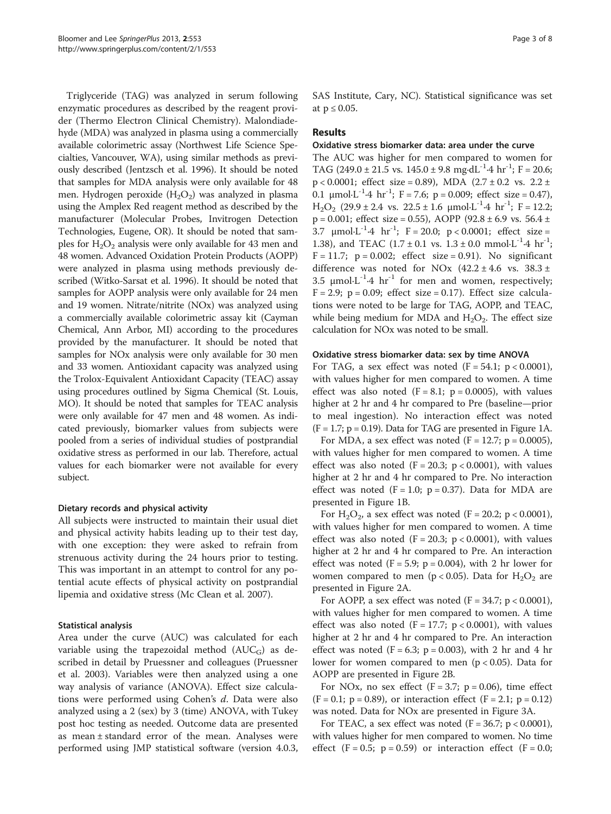Triglyceride (TAG) was analyzed in serum following enzymatic procedures as described by the reagent provider (Thermo Electron Clinical Chemistry). Malondiadehyde (MDA) was analyzed in plasma using a commercially available colorimetric assay (Northwest Life Science Specialties, Vancouver, WA), using similar methods as previously described (Jentzsch et al. [1996\)](#page-7-0). It should be noted that samples for MDA analysis were only available for 48 men. Hydrogen peroxide  $(H_2O_2)$  was analyzed in plasma using the Amplex Red reagent method as described by the manufacturer (Molecular Probes, Invitrogen Detection Technologies, Eugene, OR). It should be noted that samples for  $H_2O_2$  analysis were only available for 43 men and 48 women. Advanced Oxidation Protein Products (AOPP) were analyzed in plasma using methods previously described (Witko-Sarsat et al. [1996\)](#page-7-0). It should be noted that samples for AOPP analysis were only available for 24 men and 19 women. Nitrate/nitrite (NOx) was analyzed using a commercially available colorimetric assay kit (Cayman Chemical, Ann Arbor, MI) according to the procedures provided by the manufacturer. It should be noted that samples for NOx analysis were only available for 30 men and 33 women. Antioxidant capacity was analyzed using the Trolox-Equivalent Antioxidant Capacity (TEAC) assay using procedures outlined by Sigma Chemical (St. Louis, MO). It should be noted that samples for TEAC analysis were only available for 47 men and 48 women. As indicated previously, biomarker values from subjects were pooled from a series of individual studies of postprandial oxidative stress as performed in our lab. Therefore, actual values for each biomarker were not available for every subject.

#### Dietary records and physical activity

All subjects were instructed to maintain their usual diet and physical activity habits leading up to their test day, with one exception: they were asked to refrain from strenuous activity during the 24 hours prior to testing. This was important in an attempt to control for any potential acute effects of physical activity on postprandial lipemia and oxidative stress (Mc Clean et al. [2007\)](#page-7-0).

#### Statistical analysis

Area under the curve (AUC) was calculated for each variable using the trapezoidal method  $(AUC_G)$  as described in detail by Pruessner and colleagues (Pruessner et al. [2003](#page-7-0)). Variables were then analyzed using a one way analysis of variance (ANOVA). Effect size calculations were performed using Cohen's d. Data were also analyzed using a 2 (sex) by 3 (time) ANOVA, with Tukey post hoc testing as needed. Outcome data are presented as mean  $\pm$  standard error of the mean. Analyses were performed using JMP statistical software (version 4.0.3, SAS Institute, Cary, NC). Statistical significance was set at  $p \leq 0.05$ .

## Results

#### Oxidative stress biomarker data: area under the curve

The AUC was higher for men compared to women for TAG (249.0 ± 21.5 vs.  $145.0 \pm 9.8$  mg·dL<sup>-1</sup>·4 hr<sup>-1</sup>; F = 20.6;  $p < 0.0001$ ; effect size = 0.89), MDA  $(2.7 \pm 0.2 \text{ vs. } 2.2 \pm 1)$ 0.1  $\mu$ mol·L<sup>-1</sup>·4 hr<sup>-1</sup>; F = 7.6; p = 0.009; effect size = 0.47),  $H_2O_2$  (29.9 ± 2.4 vs. 22.5 ± 1.6 µmol·L<sup>-1</sup>·4 hr<sup>-1</sup>; F = 12.2;  $p = 0.001$ ; effect size = 0.55), AOPP (92.8 ± 6.9 vs. 56.4 ± 3.7  $\mu$ mol·L<sup>-1</sup>·4 hr<sup>-1</sup>; F = 20.0; p < 0.0001; effect size = 1.38), and TEAC  $(1.7 \pm 0.1 \text{ vs. } 1.3 \pm 0.0 \text{ mmol·L}^{-1} \cdot 4 \text{ hr}^{-1})$ ;  $F = 11.7$ ;  $p = 0.002$ ; effect size = 0.91). No significant difference was noted for NOx  $(42.2 \pm 4.6 \text{ vs. } 38.3 \pm 1)$ 3.5  $\mu$ mol·L<sup>-1</sup>·4 hr<sup>-1</sup> for men and women, respectively;  $F = 2.9$ ;  $p = 0.09$ ; effect size = 0.17). Effect size calculations were noted to be large for TAG, AOPP, and TEAC, while being medium for MDA and  $H_2O_2$ . The effect size calculation for NOx was noted to be small.

#### Oxidative stress biomarker data: sex by time ANOVA

For TAG, a sex effect was noted  $(F = 54.1; p < 0.0001)$ , with values higher for men compared to women. A time effect was also noted  $(F = 8.1; p = 0.0005)$ , with values higher at 2 hr and 4 hr compared to Pre (baseline—prior to meal ingestion). No interaction effect was noted  $(F = 1.7; p = 0.19)$ . Data for TAG are presented in Figure [1A](#page-3-0).

For MDA, a sex effect was noted  $(F = 12.7; p = 0.0005)$ , with values higher for men compared to women. A time effect was also noted  $(F = 20.3; p < 0.0001)$ , with values higher at 2 hr and 4 hr compared to Pre. No interaction effect was noted  $(F = 1.0; p = 0.37)$ . Data for MDA are presented in Figure [1B](#page-3-0).

For  $H_2O_2$ , a sex effect was noted (F = 20.2; p < 0.0001), with values higher for men compared to women. A time effect was also noted  $(F = 20.3; p < 0.0001)$ , with values higher at 2 hr and 4 hr compared to Pre. An interaction effect was noted  $(F = 5.9; p = 0.004)$ , with 2 hr lower for women compared to men ( $p < 0.05$ ). Data for  $H_2O_2$  are presented in Figure [2A](#page-4-0).

For AOPP, a sex effect was noted  $(F = 34.7; p < 0.0001)$ , with values higher for men compared to women. A time effect was also noted  $(F = 17.7; p < 0.0001)$ , with values higher at 2 hr and 4 hr compared to Pre. An interaction effect was noted  $(F = 6.3; p = 0.003)$ , with 2 hr and 4 hr lower for women compared to men  $(p < 0.05)$ . Data for AOPP are presented in Figure [2B](#page-4-0).

For NOx, no sex effect  $(F = 3.7; p = 0.06)$ , time effect  $(F = 0.1; p = 0.89)$ , or interaction effect  $(F = 2.1; p = 0.12)$ was noted. Data for NOx are presented in Figure [3](#page-5-0)A.

For TEAC, a sex effect was noted  $(F = 36.7; p < 0.0001)$ , with values higher for men compared to women. No time effect  $(F = 0.5; p = 0.59)$  or interaction effect  $(F = 0.0;$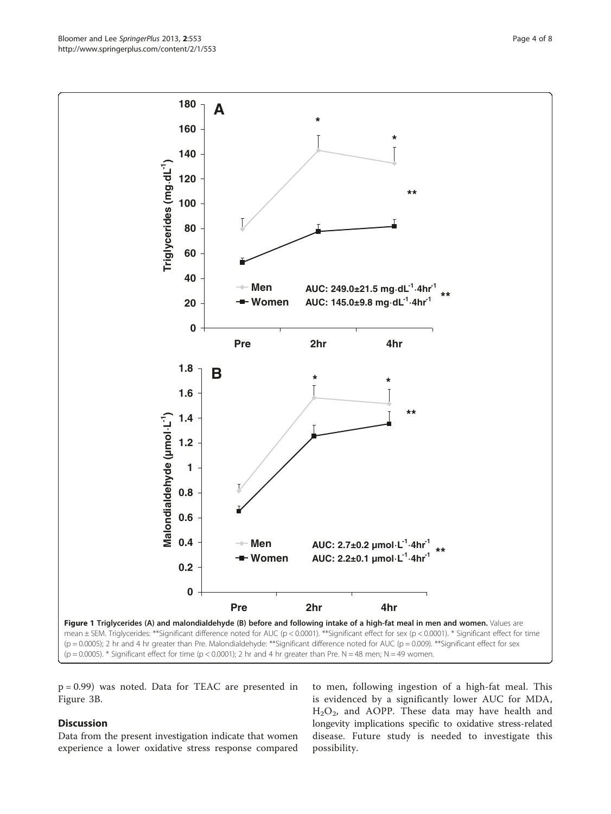<span id="page-3-0"></span>

p = 0.99) was noted. Data for TEAC are presented in Figure [3B](#page-5-0).

# **Discussion**

Data from the present investigation indicate that women experience a lower oxidative stress response compared

to men, following ingestion of a high-fat meal. This is evidenced by a significantly lower AUC for MDA,  $H<sub>2</sub>O<sub>2</sub>$ , and AOPP. These data may have health and longevity implications specific to oxidative stress-related disease. Future study is needed to investigate this possibility.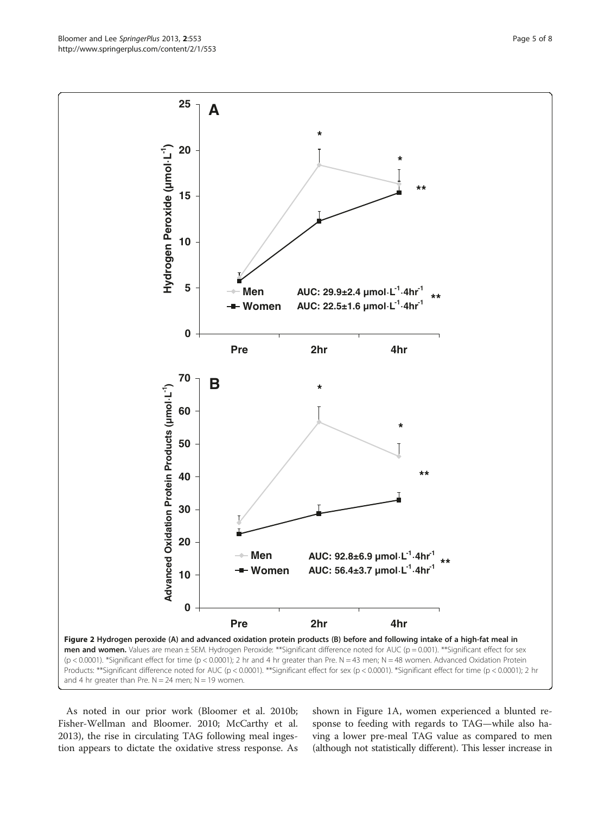<span id="page-4-0"></span>

As noted in our prior work (Bloomer et al. [2010b](#page-7-0); Fisher-Wellman and Bloomer. [2010](#page-7-0); McCarthy et al. [2013](#page-7-0)), the rise in circulating TAG following meal ingestion appears to dictate the oxidative stress response. As

shown in Figure [1](#page-3-0)A, women experienced a blunted response to feeding with regards to TAG—while also having a lower pre-meal TAG value as compared to men (although not statistically different). This lesser increase in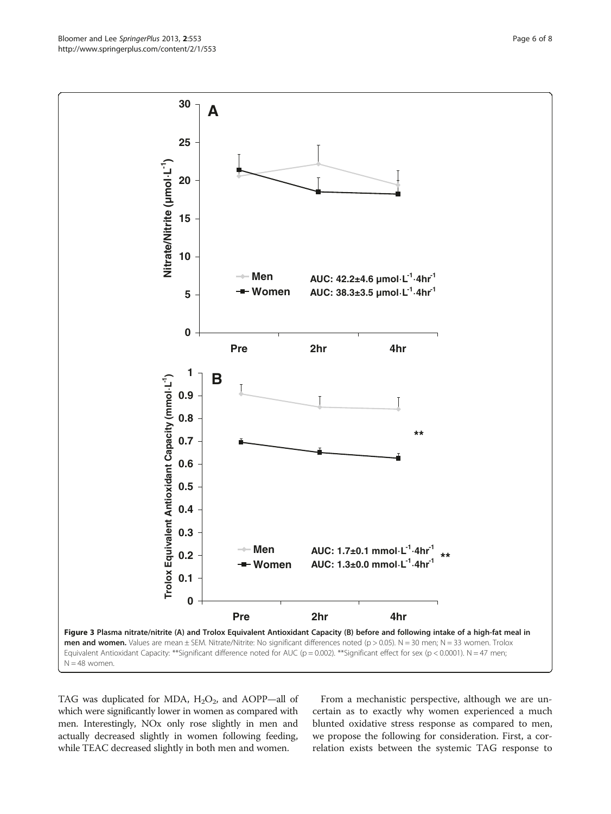<span id="page-5-0"></span>

TAG was duplicated for MDA,  $H_2O_2$ , and AOPP—all of which were significantly lower in women as compared with men. Interestingly, NOx only rose slightly in men and actually decreased slightly in women following feeding, while TEAC decreased slightly in both men and women.

From a mechanistic perspective, although we are uncertain as to exactly why women experienced a much blunted oxidative stress response as compared to men, we propose the following for consideration. First, a correlation exists between the systemic TAG response to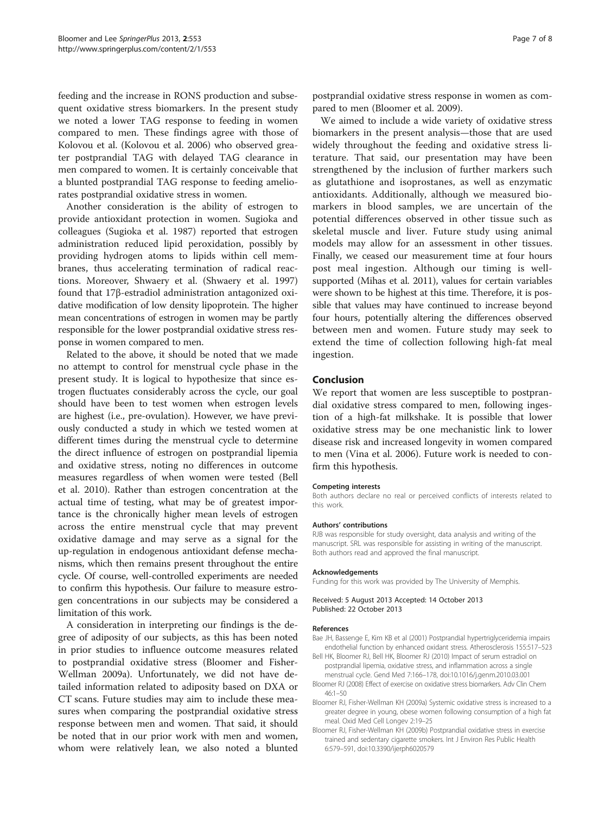<span id="page-6-0"></span>feeding and the increase in RONS production and subsequent oxidative stress biomarkers. In the present study we noted a lower TAG response to feeding in women compared to men. These findings agree with those of Kolovou et al. (Kolovou et al. [2006](#page-7-0)) who observed greater postprandial TAG with delayed TAG clearance in men compared to women. It is certainly conceivable that a blunted postprandial TAG response to feeding ameliorates postprandial oxidative stress in women.

Another consideration is the ability of estrogen to provide antioxidant protection in women. Sugioka and colleagues (Sugioka et al. [1987](#page-7-0)) reported that estrogen administration reduced lipid peroxidation, possibly by providing hydrogen atoms to lipids within cell membranes, thus accelerating termination of radical reactions. Moreover, Shwaery et al. (Shwaery et al. [1997](#page-7-0)) found that 17β-estradiol administration antagonized oxidative modification of low density lipoprotein. The higher mean concentrations of estrogen in women may be partly responsible for the lower postprandial oxidative stress response in women compared to men.

Related to the above, it should be noted that we made no attempt to control for menstrual cycle phase in the present study. It is logical to hypothesize that since estrogen fluctuates considerably across the cycle, our goal should have been to test women when estrogen levels are highest (i.e., pre-ovulation). However, we have previously conducted a study in which we tested women at different times during the menstrual cycle to determine the direct influence of estrogen on postprandial lipemia and oxidative stress, noting no differences in outcome measures regardless of when women were tested (Bell et al. 2010). Rather than estrogen concentration at the actual time of testing, what may be of greatest importance is the chronically higher mean levels of estrogen across the entire menstrual cycle that may prevent oxidative damage and may serve as a signal for the up-regulation in endogenous antioxidant defense mechanisms, which then remains present throughout the entire cycle. Of course, well-controlled experiments are needed to confirm this hypothesis. Our failure to measure estrogen concentrations in our subjects may be considered a limitation of this work.

A consideration in interpreting our findings is the degree of adiposity of our subjects, as this has been noted in prior studies to influence outcome measures related to postprandial oxidative stress (Bloomer and Fisher-Wellman 2009a). Unfortunately, we did not have detailed information related to adiposity based on DXA or CT scans. Future studies may aim to include these measures when comparing the postprandial oxidative stress response between men and women. That said, it should be noted that in our prior work with men and women, whom were relatively lean, we also noted a blunted postprandial oxidative stress response in women as compared to men (Bloomer et al. [2009\)](#page-7-0).

We aimed to include a wide variety of oxidative stress biomarkers in the present analysis—those that are used widely throughout the feeding and oxidative stress literature. That said, our presentation may have been strengthened by the inclusion of further markers such as glutathione and isoprostanes, as well as enzymatic antioxidants. Additionally, although we measured biomarkers in blood samples, we are uncertain of the potential differences observed in other tissue such as skeletal muscle and liver. Future study using animal models may allow for an assessment in other tissues. Finally, we ceased our measurement time at four hours post meal ingestion. Although our timing is wellsupported (Mihas et al. [2011](#page-7-0)), values for certain variables were shown to be highest at this time. Therefore, it is possible that values may have continued to increase beyond four hours, potentially altering the differences observed between men and women. Future study may seek to extend the time of collection following high-fat meal ingestion.

#### Conclusion

We report that women are less susceptible to postprandial oxidative stress compared to men, following ingestion of a high-fat milkshake. It is possible that lower oxidative stress may be one mechanistic link to lower disease risk and increased longevity in women compared to men (Vina et al. [2006](#page-7-0)). Future work is needed to confirm this hypothesis.

#### Competing interests

Both authors declare no real or perceived conflicts of interests related to this work.

#### Authors' contributions

RJB was responsible for study oversight, data analysis and writing of the manuscript. SRL was responsible for assisting in writing of the manuscript. Both authors read and approved the final manuscript.

#### Acknowledgements

Funding for this work was provided by The University of Memphis.

Received: 5 August 2013 Accepted: 14 October 2013 Published: 22 October 2013

#### References

- Bae JH, Bassenge E, Kim KB et al (2001) Postprandial hypertriglyceridemia impairs endothelial function by enhanced oxidant stress. Atherosclerosis 155:517–523
- Bell HK, Bloomer RJ, Bell HK, Bloomer RJ (2010) Impact of serum estradiol on postprandial lipemia, oxidative stress, and inflammation across a single menstrual cycle. Gend Med 7:166–178, doi:10.1016/j.genm.2010.03.001
- Bloomer RJ (2008) Effect of exercise on oxidative stress biomarkers. Adv Clin Chem 46:1–50
- Bloomer RJ, Fisher-Wellman KH (2009a) Systemic oxidative stress is increased to a greater degree in young, obese women following consumption of a high fat meal. Oxid Med Cell Longev 2:19–25
- Bloomer RJ, Fisher-Wellman KH (2009b) Postprandial oxidative stress in exercise trained and sedentary cigarette smokers. Int J Environ Res Public Health 6:579–591, doi:10.3390/ijerph6020579